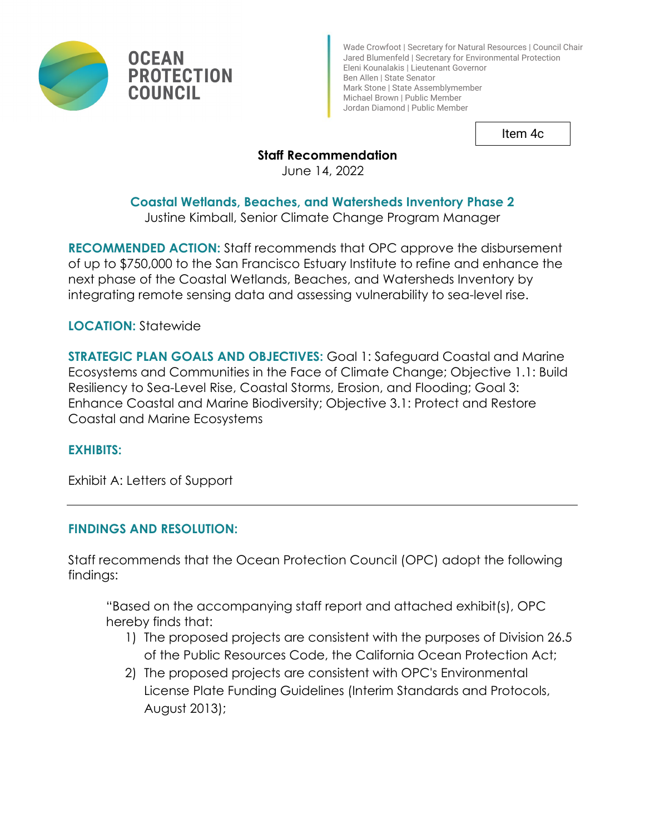

Wade Crowfoot | Secretary for Natural Resources | Council Chair Jared Blumenfeld | Secretary for Environmental Protection Eleni Kounalakis | Lieutenant Governor Ben Allen | State Senator Mark Stone | State Assemblymember Michael Brown | Public Member Jordan Diamond | Public Member

Item 4c

# **Staff Recommendation**

June 14, 2022

## **Coastal Wetlands, Beaches, and Watersheds Inventory Phase 2**

Justine Kimball, Senior Climate Change Program Manager

**RECOMMENDED ACTION:** Staff recommends that OPC approve the disbursement of up to \$750,000 to the San Francisco Estuary Institute to refine and enhance the next phase of the Coastal Wetlands, Beaches, and Watersheds Inventory by integrating remote sensing data and assessing vulnerability to sea-level rise.

## **LOCATION:** Statewide

**STRATEGIC PLAN GOALS AND OBJECTIVES:** Goal 1: Safeguard Coastal and Marine Ecosystems and Communities in the Face of Climate Change; Objective 1.1: Build Resiliency to Sea-Level Rise, Coastal Storms, Erosion, and Flooding; Goal 3: Enhance Coastal and Marine Biodiversity; Objective 3.1: Protect and Restore Coastal and Marine Ecosystems

## **EXHIBITS:**

Exhibit A: Letters of Support

## **FINDINGS AND RESOLUTION:**

Staff recommends that the Ocean Protection Council (OPC) adopt the following findings:

"Based on the accompanying staff report and attached exhibit(s), OPC hereby finds that:

- 1) The proposed projects are consistent with the purposes of Division 26.5 of the Public Resources Code, the California Ocean Protection Act;
- 2) The proposed projects are consistent with OPC's Environmental License Plate Funding Guidelines (Interim Standards and Protocols, August 2013);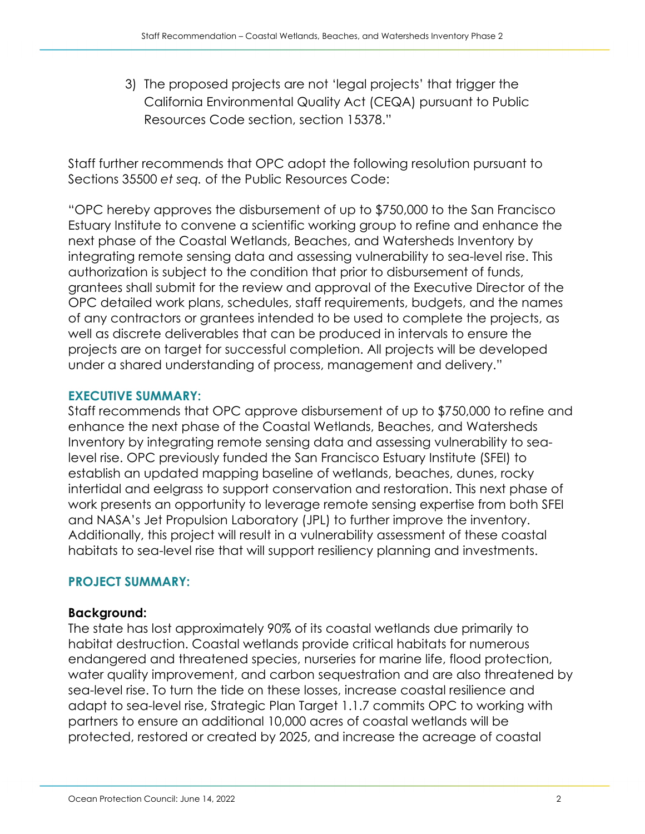3) The proposed projects are not 'legal projects' that trigger the California Environmental Quality Act (CEQA) pursuant to Public Resources Code section, section 15378."

Staff further recommends that OPC adopt the following resolution pursuant to Sections 35500 *et seq.* of the Public Resources Code:

"OPC hereby approves the disbursement of up to \$750,000 to the San Francisco Estuary Institute to convene a scientific working group to refine and enhance the next phase of the Coastal Wetlands, Beaches, and Watersheds Inventory by integrating remote sensing data and assessing vulnerability to sea-level rise. This authorization is subject to the condition that prior to disbursement of funds, grantees shall submit for the review and approval of the Executive Director of the OPC detailed work plans, schedules, staff requirements, budgets, and the names of any contractors or grantees intended to be used to complete the projects, as well as discrete deliverables that can be produced in intervals to ensure the projects are on target for successful completion. All projects will be developed under a shared understanding of process, management and delivery."

#### **EXECUTIVE SUMMARY:**

Staff recommends that OPC approve disbursement of up to \$750,000 to refine and enhance the next phase of the Coastal Wetlands, Beaches, and Watersheds Inventory by integrating remote sensing data and assessing vulnerability to sealevel rise. OPC previously funded the San Francisco Estuary Institute (SFEI) to establish an updated mapping baseline of wetlands, beaches, dunes, rocky intertidal and eelgrass to support conservation and restoration. This next phase of work presents an opportunity to leverage remote sensing expertise from both SFEI and NASA's Jet Propulsion Laboratory (JPL) to further improve the inventory. Additionally, this project will result in a vulnerability assessment of these coastal habitats to sea-level rise that will support resiliency planning and investments.

## **PROJECT SUMMARY:**

#### **Background:**

The state has lost approximately 90% of its coastal wetlands due primarily to habitat destruction. Coastal wetlands provide critical habitats for numerous endangered and threatened species, nurseries for marine life, flood protection, water quality improvement, and carbon sequestration and are also threatened by sea-level rise. To turn the tide on these losses, increase coastal resilience and adapt to sea-level rise, Strategic Plan Target 1.1.7 commits OPC to working with partners to ensure an additional 10,000 acres of coastal wetlands will be protected, restored or created by 2025, and increase the acreage of coastal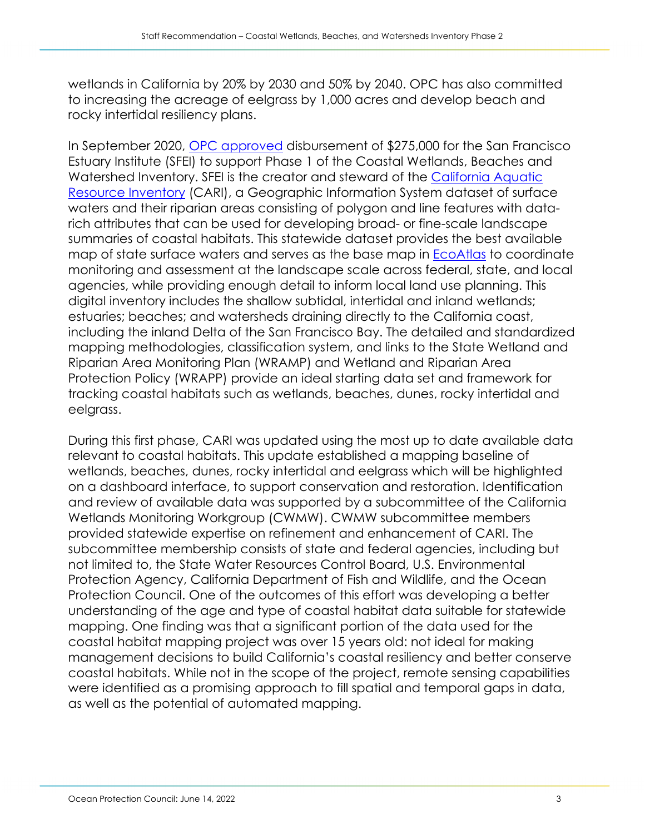wetlands in California by 20% by 2030 and 50% by 2040. OPC has also committed to increasing the acreage of eelgrass by 1,000 acres and develop beach and rocky intertidal resiliency plans.

In September 2020, [OPC approved](https://opc.ca.gov/webmaster/ftp/pdf/agenda_items/20200619/Item5_Wetlands_Inventory_FINAL.pdf) disbursement of \$275,000 for the San Francisco Estuary Institute (SFEI) to support Phase 1 of the Coastal Wetlands, Beaches and Watershed Inventory. SFEI is the creator and steward of the [California Aquatic](https://www.sfei.org/cari)  [Resource Inventory](https://www.sfei.org/cari) (CARI), a Geographic Information System dataset of surface waters and their riparian areas consisting of polygon and line features with datarich attributes that can be used for developing broad- or fine-scale landscape summaries of coastal habitats. This statewide dataset provides the best available map of state surface waters and serves as the base map in [EcoAtlas](https://www.ecoatlas.org/) to coordinate monitoring and assessment at the landscape scale across federal, state, and local agencies, while providing enough detail to inform local land use planning. This digital inventory includes the shallow subtidal, intertidal and inland wetlands; estuaries; beaches; and watersheds draining directly to the California coast, including the inland Delta of the San Francisco Bay. The detailed and standardized mapping methodologies, classification system, and links to the State Wetland and Riparian Area Monitoring Plan (WRAMP) and Wetland and Riparian Area Protection Policy (WRAPP) provide an ideal starting data set and framework for tracking coastal habitats such as wetlands, beaches, dunes, rocky intertidal and eelgrass.

During this first phase, CARI was updated using the most up to date available data relevant to coastal habitats. This update established a mapping baseline of wetlands, beaches, dunes, rocky intertidal and eelgrass which will be highlighted on a dashboard interface, to support conservation and restoration. Identification and review of available data was supported by a subcommittee of the California Wetlands Monitoring Workgroup (CWMW). CWMW subcommittee members provided statewide expertise on refinement and enhancement of CARI. The subcommittee membership consists of state and federal agencies, including but not limited to, the State Water Resources Control Board, U.S. Environmental Protection Agency, California Department of Fish and Wildlife, and the Ocean Protection Council. One of the outcomes of this effort was developing a better understanding of the age and type of coastal habitat data suitable for statewide mapping. One finding was that a significant portion of the data used for the coastal habitat mapping project was over 15 years old: not ideal for making management decisions to build California's coastal resiliency and better conserve coastal habitats. While not in the scope of the project, remote sensing capabilities were identified as a promising approach to fill spatial and temporal gaps in data, as well as the potential of automated mapping.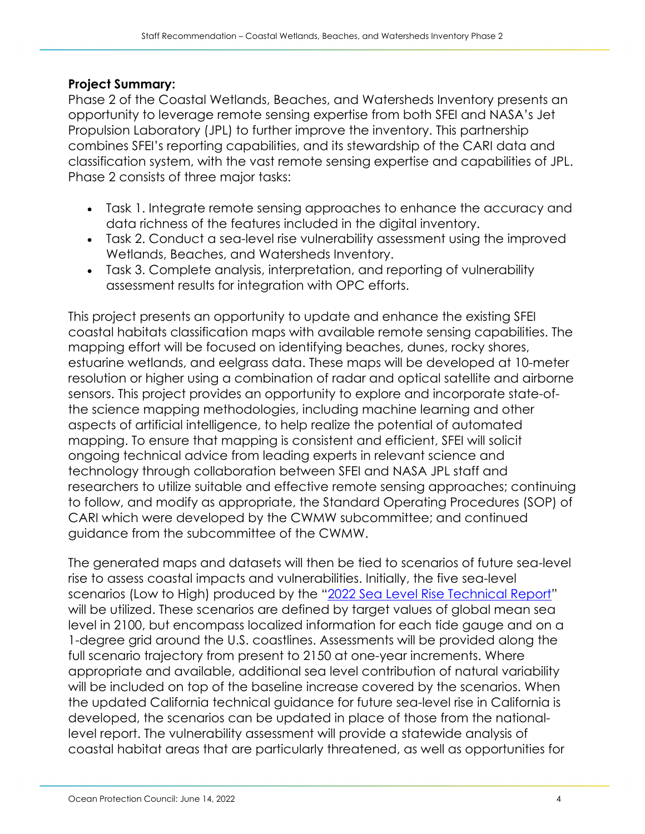## **Project Summary:**

Phase 2 of the Coastal Wetlands, Beaches, and Watersheds Inventory presents an opportunity to leverage remote sensing expertise from both SFEI and NASA's Jet Propulsion Laboratory (JPL) to further improve the inventory. This partnership combines SFEI's reporting capabilities, and its stewardship of the CARI data and classification system, with the vast remote sensing expertise and capabilities of JPL. Phase 2 consists of three major tasks:

- Task 1. Integrate remote sensing approaches to enhance the accuracy and data richness of the features included in the digital inventory.
- Task 2. Conduct a sea-level rise vulnerability assessment using the improved Wetlands, Beaches, and Watersheds Inventory.
- Task 3. Complete analysis, interpretation, and reporting of vulnerability assessment results for integration with OPC efforts.

This project presents an opportunity to update and enhance the existing SFEI coastal habitats classification maps with available remote sensing capabilities. The mapping effort will be focused on identifying beaches, dunes, rocky shores, estuarine wetlands, and eelgrass data. These maps will be developed at 10-meter resolution or higher using a combination of radar and optical satellite and airborne sensors. This project provides an opportunity to explore and incorporate state-ofthe science mapping methodologies, including machine learning and other aspects of artificial intelligence, to help realize the potential of automated mapping. To ensure that mapping is consistent and efficient, SFEI will solicit ongoing technical advice from leading experts in relevant science and technology through collaboration between SFEI and NASA JPL staff and researchers to utilize suitable and effective remote sensing approaches; continuing to follow, and modify as appropriate, the Standard Operating Procedures (SOP) of CARI which were developed by the CWMW subcommittee; and continued guidance from the subcommittee of the CWMW.

The generated maps and datasets will then be tied to scenarios of future sea-level rise to assess coastal impacts and vulnerabilities. Initially, the five sea-level scenarios (Low to High) produced by the ["2022 Sea Level Rise Technical Report"](https://oceanservice.noaa.gov/hazards/sealevelrise/sealevelrise-tech-report.html) will be utilized. These scenarios are defined by target values of global mean sea level in 2100, but encompass localized information for each tide gauge and on a 1-degree grid around the U.S. coastlines. Assessments will be provided along the full scenario trajectory from present to 2150 at one-year increments. Where appropriate and available, additional sea level contribution of natural variability will be included on top of the baseline increase covered by the scenarios. When the updated California technical guidance for future sea-level rise in California is developed, the scenarios can be updated in place of those from the nationallevel report. The vulnerability assessment will provide a statewide analysis of coastal habitat areas that are particularly threatened, as well as opportunities for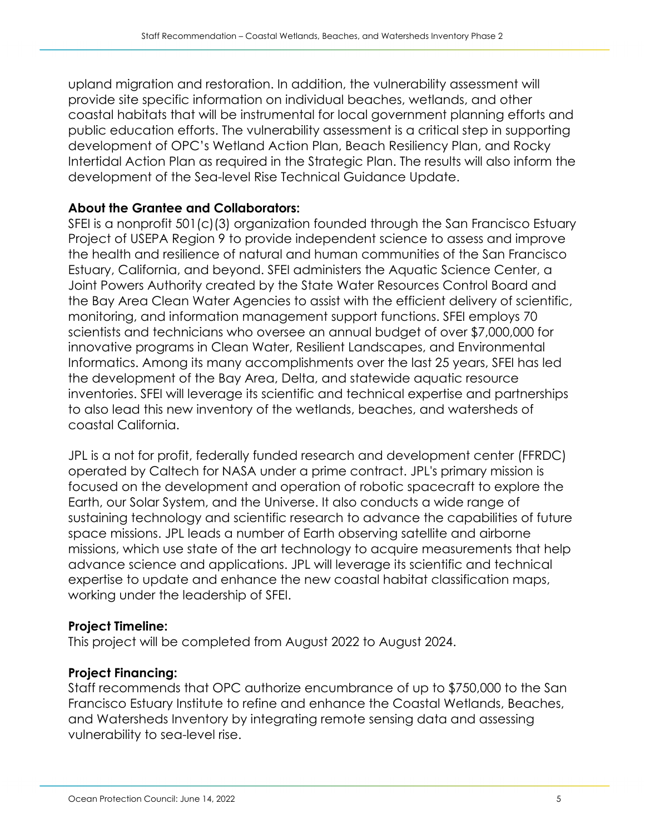upland migration and restoration. In addition, the vulnerability assessment will provide site specific information on individual beaches, wetlands, and other coastal habitats that will be instrumental for local government planning efforts and public education efforts. The vulnerability assessment is a critical step in supporting development of OPC's Wetland Action Plan, Beach Resiliency Plan, and Rocky Intertidal Action Plan as required in the Strategic Plan. The results will also inform the development of the Sea-level Rise Technical Guidance Update.

## **About the Grantee and Collaborators:**

SFEI is a nonprofit 501(c)(3) organization founded through the San Francisco Estuary Project of USEPA Region 9 to provide independent science to assess and improve the health and resilience of natural and human communities of the San Francisco Estuary, California, and beyond. SFEI administers the Aquatic Science Center, a Joint Powers Authority created by the State Water Resources Control Board and the Bay Area Clean Water Agencies to assist with the efficient delivery of scientific, monitoring, and information management support functions. SFEI employs 70 scientists and technicians who oversee an annual budget of over \$7,000,000 for innovative programs in Clean Water, Resilient Landscapes, and Environmental Informatics. Among its many accomplishments over the last 25 years, SFEI has led the development of the Bay Area, Delta, and statewide aquatic resource inventories. SFEI will leverage its scientific and technical expertise and partnerships to also lead this new inventory of the wetlands, beaches, and watersheds of coastal California.

JPL is a not for profit, federally funded research and development center (FFRDC) operated by Caltech for NASA under a prime contract. JPL's primary mission is focused on the development and operation of robotic spacecraft to explore the Earth, our Solar System, and the Universe. It also conducts a wide range of sustaining technology and scientific research to advance the capabilities of future space missions. JPL leads a number of Earth observing satellite and airborne missions, which use state of the art technology to acquire measurements that help advance science and applications. JPL will leverage its scientific and technical expertise to update and enhance the new coastal habitat classification maps, working under the leadership of SFEI.

#### **Project Timeline:**

This project will be completed from August 2022 to August 2024.

## **Project Financing:**

Staff recommends that OPC authorize encumbrance of up to \$750,000 to the San Francisco Estuary Institute to refine and enhance the Coastal Wetlands, Beaches, and Watersheds Inventory by integrating remote sensing data and assessing vulnerability to sea-level rise.